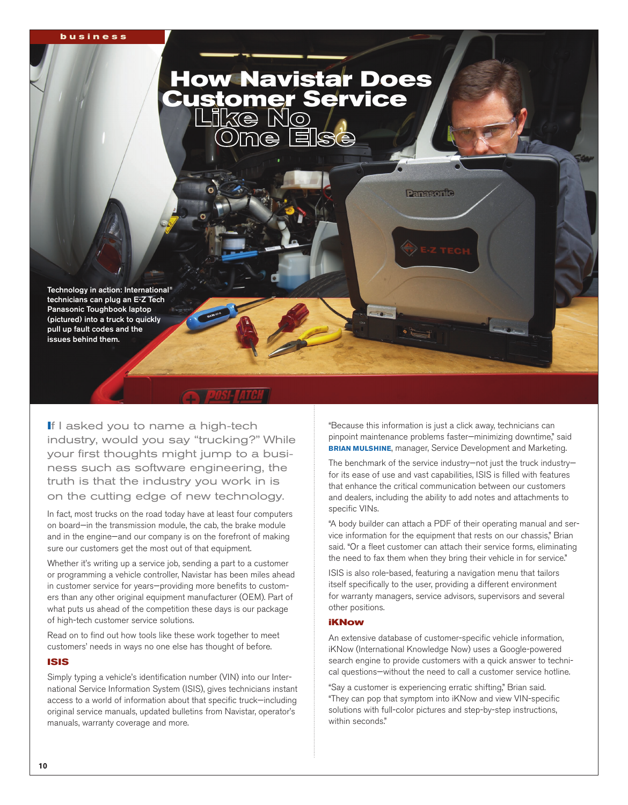**business**

Technology in action: International® technicians can plug an E-Z Tech Panasonic Toughbook laptop (pictured) into a truck to quickly pull up fault codes and the issues behind them.

*How Navistar Does* 

ി(ല

*Customer Service* 

**I**f I asked you to name a high-tech industry, would you say "trucking?" While your first thoughts might jump to a business such as software engineering, the truth is that the industry you work in is on the cutting edge of new technology.

In fact, most trucks on the road today have at least four computers on board—in the transmission module, the cab, the brake module and in the engine—and our company is on the forefront of making sure our customers get the most out of that equipment.

Whether it's writing up a service job, sending a part to a customer or programming a vehicle controller, Navistar has been miles ahead in customer service for years—providing more benefits to customers than any other original equipment manufacturer (OEM). Part of what puts us ahead of the competition these days is our package of high-tech customer service solutions.

Read on to find out how tools like these work together to meet customers' needs in ways no one else has thought of before.

## **ISIS**

Simply typing a vehicle's identification number (VIN) into our International Service Information System (ISIS), gives technicians instant access to a world of information about that specific truck—including original service manuals, updated bulletins from Navistar, operator's manuals, warranty coverage and more.

"Because this information is just a click away, technicians can pinpoint maintenance problems faster—minimizing downtime," said **BRIAN MULSHINE**, manager, Service Development and Marketing.

Panasonte

The benchmark of the service industry—not just the truck industry for its ease of use and vast capabilities, ISIS is filled with features that enhance the critical communication between our customers and dealers, including the ability to add notes and attachments to specific VINs.

"A body builder can attach a PDF of their operating manual and service information for the equipment that rests on our chassis," Brian said. "Or a fleet customer can attach their service forms, eliminating the need to fax them when they bring their vehicle in for service."

ISIS is also role-based, featuring a navigation menu that tailors itself specifically to the user, providing a different environment for warranty managers, service advisors, supervisors and several other positions.

# **iKNow**

An extensive database of customer-specific vehicle information, iKNow (International Knowledge Now) uses a Google-powered search engine to provide customers with a quick answer to technical questions—without the need to call a customer service hotline.

"Say a customer is experiencing erratic shifting," Brian said. "They can pop that symptom into iKNow and view VIN-specific solutions with full-color pictures and step-by-step instructions, within seconds."